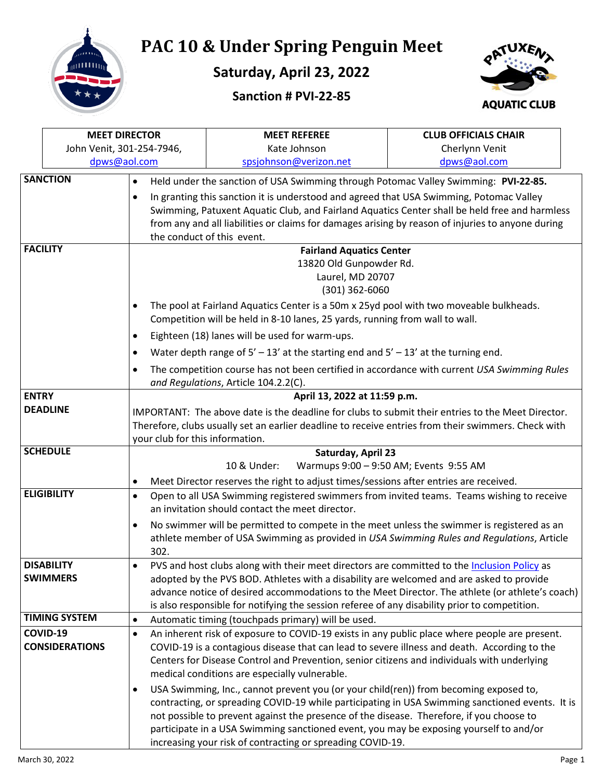

## **PAC 10 & Under Spring Penguin Meet**

**Saturday, April 23, 2022**





|                                                                                                                              | <b>MEET DIRECTOR</b>      |                                                                                                                                                                                     | <b>MEET REFEREE</b>                                                                                                                                                                     | <b>CLUB OFFICIALS CHAIR</b> |  |  |  |
|------------------------------------------------------------------------------------------------------------------------------|---------------------------|-------------------------------------------------------------------------------------------------------------------------------------------------------------------------------------|-----------------------------------------------------------------------------------------------------------------------------------------------------------------------------------------|-----------------------------|--|--|--|
|                                                                                                                              | John Venit, 301-254-7946, |                                                                                                                                                                                     | Kate Johnson                                                                                                                                                                            | Cherlynn Venit              |  |  |  |
|                                                                                                                              | dpws@aol.com              |                                                                                                                                                                                     | spsjohnson@verizon.net                                                                                                                                                                  | dpws@aol.com                |  |  |  |
|                                                                                                                              | <b>SANCTION</b>           | $\bullet$                                                                                                                                                                           | Held under the sanction of USA Swimming through Potomac Valley Swimming: PVI-22-85.                                                                                                     |                             |  |  |  |
|                                                                                                                              | $\bullet$                 |                                                                                                                                                                                     | In granting this sanction it is understood and agreed that USA Swimming, Potomac Valley                                                                                                 |                             |  |  |  |
|                                                                                                                              |                           |                                                                                                                                                                                     | Swimming, Patuxent Aquatic Club, and Fairland Aquatics Center shall be held free and harmless                                                                                           |                             |  |  |  |
|                                                                                                                              |                           |                                                                                                                                                                                     | from any and all liabilities or claims for damages arising by reason of injuries to anyone during                                                                                       |                             |  |  |  |
| the conduct of this event.                                                                                                   |                           |                                                                                                                                                                                     |                                                                                                                                                                                         |                             |  |  |  |
|                                                                                                                              | <b>FACILITY</b>           | <b>Fairland Aquatics Center</b>                                                                                                                                                     |                                                                                                                                                                                         |                             |  |  |  |
|                                                                                                                              |                           | 13820 Old Gunpowder Rd.                                                                                                                                                             |                                                                                                                                                                                         |                             |  |  |  |
|                                                                                                                              |                           |                                                                                                                                                                                     | Laurel, MD 20707                                                                                                                                                                        |                             |  |  |  |
|                                                                                                                              |                           |                                                                                                                                                                                     | $(301)$ 362-6060                                                                                                                                                                        |                             |  |  |  |
|                                                                                                                              |                           | The pool at Fairland Aquatics Center is a 50m x 25yd pool with two moveable bulkheads.<br>$\bullet$<br>Competition will be held in 8-10 lanes, 25 yards, running from wall to wall. |                                                                                                                                                                                         |                             |  |  |  |
|                                                                                                                              |                           | $\bullet$                                                                                                                                                                           | Eighteen (18) lanes will be used for warm-ups.                                                                                                                                          |                             |  |  |  |
|                                                                                                                              |                           | $\bullet$                                                                                                                                                                           | Water depth range of $5' - 13'$ at the starting end and $5' - 13'$ at the turning end.                                                                                                  |                             |  |  |  |
|                                                                                                                              |                           | $\bullet$                                                                                                                                                                           | The competition course has not been certified in accordance with current USA Swimming Rules                                                                                             |                             |  |  |  |
|                                                                                                                              |                           |                                                                                                                                                                                     | and Regulations, Article 104.2.2(C).                                                                                                                                                    |                             |  |  |  |
| <b>ENTRY</b>                                                                                                                 |                           |                                                                                                                                                                                     | April 13, 2022 at 11:59 p.m.                                                                                                                                                            |                             |  |  |  |
| <b>DEADLINE</b>                                                                                                              |                           |                                                                                                                                                                                     | IMPORTANT: The above date is the deadline for clubs to submit their entries to the Meet Director.                                                                                       |                             |  |  |  |
|                                                                                                                              |                           |                                                                                                                                                                                     | Therefore, clubs usually set an earlier deadline to receive entries from their swimmers. Check with                                                                                     |                             |  |  |  |
|                                                                                                                              |                           | your club for this information.                                                                                                                                                     |                                                                                                                                                                                         |                             |  |  |  |
|                                                                                                                              | <b>SCHEDULE</b>           | Saturday, April 23                                                                                                                                                                  |                                                                                                                                                                                         |                             |  |  |  |
|                                                                                                                              |                           | Warmups 9:00 - 9:50 AM; Events 9:55 AM<br>10 & Under:                                                                                                                               |                                                                                                                                                                                         |                             |  |  |  |
|                                                                                                                              |                           | $\bullet$                                                                                                                                                                           | Meet Director reserves the right to adjust times/sessions after entries are received.                                                                                                   |                             |  |  |  |
| <b>ELIGIBILITY</b><br>Open to all USA Swimming registered swimmers from invited teams. Teams wishing to receive<br>$\bullet$ |                           |                                                                                                                                                                                     |                                                                                                                                                                                         |                             |  |  |  |
|                                                                                                                              |                           |                                                                                                                                                                                     | an invitation should contact the meet director.                                                                                                                                         |                             |  |  |  |
| $\bullet$                                                                                                                    |                           |                                                                                                                                                                                     | No swimmer will be permitted to compete in the meet unless the swimmer is registered as an<br>athlete member of USA Swimming as provided in USA Swimming Rules and Regulations, Article |                             |  |  |  |
|                                                                                                                              |                           | 302.                                                                                                                                                                                |                                                                                                                                                                                         |                             |  |  |  |
|                                                                                                                              | <b>DISABILITY</b>         | $\bullet$                                                                                                                                                                           | PVS and host clubs along with their meet directors are committed to the Inclusion Policy as                                                                                             |                             |  |  |  |
| <b>SWIMMERS</b>                                                                                                              |                           |                                                                                                                                                                                     | adopted by the PVS BOD. Athletes with a disability are welcomed and are asked to provide                                                                                                |                             |  |  |  |
|                                                                                                                              |                           |                                                                                                                                                                                     | advance notice of desired accommodations to the Meet Director. The athlete (or athlete's coach)                                                                                         |                             |  |  |  |
|                                                                                                                              |                           |                                                                                                                                                                                     | is also responsible for notifying the session referee of any disability prior to competition.                                                                                           |                             |  |  |  |
|                                                                                                                              | <b>TIMING SYSTEM</b>      | $\bullet$                                                                                                                                                                           | Automatic timing (touchpads primary) will be used.                                                                                                                                      |                             |  |  |  |
|                                                                                                                              | COVID-19                  | $\bullet$                                                                                                                                                                           | An inherent risk of exposure to COVID-19 exists in any public place where people are present.                                                                                           |                             |  |  |  |
|                                                                                                                              | <b>CONSIDERATIONS</b>     |                                                                                                                                                                                     | COVID-19 is a contagious disease that can lead to severe illness and death. According to the                                                                                            |                             |  |  |  |
|                                                                                                                              |                           |                                                                                                                                                                                     | Centers for Disease Control and Prevention, senior citizens and individuals with underlying                                                                                             |                             |  |  |  |
|                                                                                                                              |                           |                                                                                                                                                                                     | medical conditions are especially vulnerable.                                                                                                                                           |                             |  |  |  |
|                                                                                                                              |                           | $\bullet$                                                                                                                                                                           | USA Swimming, Inc., cannot prevent you (or your child(ren)) from becoming exposed to,                                                                                                   |                             |  |  |  |
|                                                                                                                              |                           |                                                                                                                                                                                     | contracting, or spreading COVID-19 while participating in USA Swimming sanctioned events. It is                                                                                         |                             |  |  |  |
|                                                                                                                              |                           |                                                                                                                                                                                     | not possible to prevent against the presence of the disease. Therefore, if you choose to                                                                                                |                             |  |  |  |
|                                                                                                                              |                           |                                                                                                                                                                                     | participate in a USA Swimming sanctioned event, you may be exposing yourself to and/or<br>increasing your risk of contracting or spreading COVID-19.                                    |                             |  |  |  |
|                                                                                                                              |                           |                                                                                                                                                                                     |                                                                                                                                                                                         |                             |  |  |  |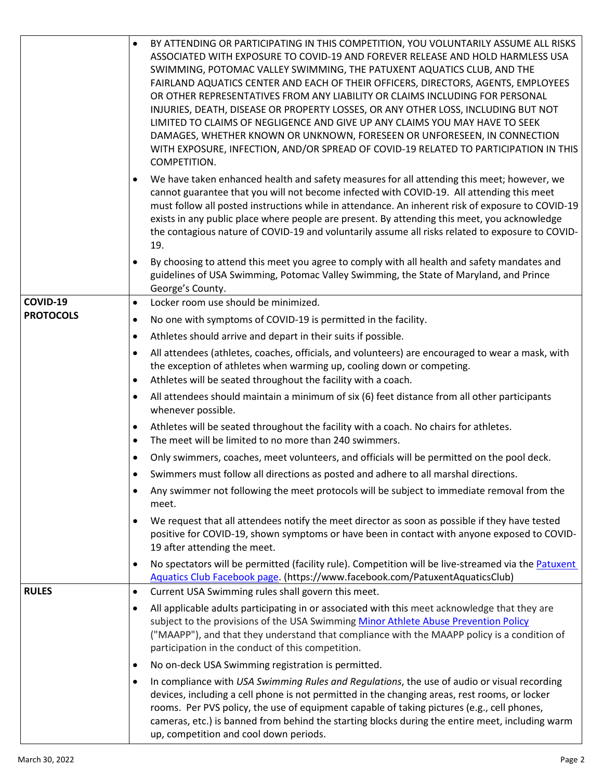|                  | BY ATTENDING OR PARTICIPATING IN THIS COMPETITION, YOU VOLUNTARILY ASSUME ALL RISKS<br>$\bullet$<br>ASSOCIATED WITH EXPOSURE TO COVID-19 AND FOREVER RELEASE AND HOLD HARMLESS USA<br>SWIMMING, POTOMAC VALLEY SWIMMING, THE PATUXENT AQUATICS CLUB, AND THE<br>FAIRLAND AQUATICS CENTER AND EACH OF THEIR OFFICERS, DIRECTORS, AGENTS, EMPLOYEES<br>OR OTHER REPRESENTATIVES FROM ANY LIABILITY OR CLAIMS INCLUDING FOR PERSONAL<br>INJURIES, DEATH, DISEASE OR PROPERTY LOSSES, OR ANY OTHER LOSS, INCLUDING BUT NOT<br>LIMITED TO CLAIMS OF NEGLIGENCE AND GIVE UP ANY CLAIMS YOU MAY HAVE TO SEEK<br>DAMAGES, WHETHER KNOWN OR UNKNOWN, FORESEEN OR UNFORESEEN, IN CONNECTION<br>WITH EXPOSURE, INFECTION, AND/OR SPREAD OF COVID-19 RELATED TO PARTICIPATION IN THIS<br>COMPETITION.<br>We have taken enhanced health and safety measures for all attending this meet; however, we |
|------------------|-----------------------------------------------------------------------------------------------------------------------------------------------------------------------------------------------------------------------------------------------------------------------------------------------------------------------------------------------------------------------------------------------------------------------------------------------------------------------------------------------------------------------------------------------------------------------------------------------------------------------------------------------------------------------------------------------------------------------------------------------------------------------------------------------------------------------------------------------------------------------------------------|
|                  | cannot guarantee that you will not become infected with COVID-19. All attending this meet<br>must follow all posted instructions while in attendance. An inherent risk of exposure to COVID-19<br>exists in any public place where people are present. By attending this meet, you acknowledge<br>the contagious nature of COVID-19 and voluntarily assume all risks related to exposure to COVID-<br>19.                                                                                                                                                                                                                                                                                                                                                                                                                                                                               |
|                  | By choosing to attend this meet you agree to comply with all health and safety mandates and<br>$\bullet$<br>guidelines of USA Swimming, Potomac Valley Swimming, the State of Maryland, and Prince<br>George's County.                                                                                                                                                                                                                                                                                                                                                                                                                                                                                                                                                                                                                                                                  |
| COVID-19         | Locker room use should be minimized.<br>$\bullet$                                                                                                                                                                                                                                                                                                                                                                                                                                                                                                                                                                                                                                                                                                                                                                                                                                       |
| <b>PROTOCOLS</b> | No one with symptoms of COVID-19 is permitted in the facility.<br>$\bullet$                                                                                                                                                                                                                                                                                                                                                                                                                                                                                                                                                                                                                                                                                                                                                                                                             |
|                  | Athletes should arrive and depart in their suits if possible.<br>$\bullet$                                                                                                                                                                                                                                                                                                                                                                                                                                                                                                                                                                                                                                                                                                                                                                                                              |
|                  | All attendees (athletes, coaches, officials, and volunteers) are encouraged to wear a mask, with<br>$\bullet$<br>the exception of athletes when warming up, cooling down or competing.<br>Athletes will be seated throughout the facility with a coach.<br>$\bullet$                                                                                                                                                                                                                                                                                                                                                                                                                                                                                                                                                                                                                    |
|                  | All attendees should maintain a minimum of six (6) feet distance from all other participants<br>$\bullet$<br>whenever possible.                                                                                                                                                                                                                                                                                                                                                                                                                                                                                                                                                                                                                                                                                                                                                         |
|                  | Athletes will be seated throughout the facility with a coach. No chairs for athletes.<br>$\bullet$<br>The meet will be limited to no more than 240 swimmers.<br>$\bullet$                                                                                                                                                                                                                                                                                                                                                                                                                                                                                                                                                                                                                                                                                                               |
|                  | Only swimmers, coaches, meet volunteers, and officials will be permitted on the pool deck.<br>$\bullet$                                                                                                                                                                                                                                                                                                                                                                                                                                                                                                                                                                                                                                                                                                                                                                                 |
|                  | Swimmers must follow all directions as posted and adhere to all marshal directions.                                                                                                                                                                                                                                                                                                                                                                                                                                                                                                                                                                                                                                                                                                                                                                                                     |
|                  | Any swimmer not following the meet protocols will be subject to immediate removal from the<br>$\bullet$<br>meet.                                                                                                                                                                                                                                                                                                                                                                                                                                                                                                                                                                                                                                                                                                                                                                        |
|                  | We request that all attendees notify the meet director as soon as possible if they have tested<br>$\bullet$<br>positive for COVID-19, shown symptoms or have been in contact with anyone exposed to COVID-<br>19 after attending the meet.                                                                                                                                                                                                                                                                                                                                                                                                                                                                                                                                                                                                                                              |
|                  | No spectators will be permitted (facility rule). Competition will be live-streamed via the Patuxent<br>$\bullet$<br>Aquatics Club Facebook page. (https://www.facebook.com/PatuxentAquaticsClub)                                                                                                                                                                                                                                                                                                                                                                                                                                                                                                                                                                                                                                                                                        |
| <b>RULES</b>     | Current USA Swimming rules shall govern this meet.<br>$\bullet$                                                                                                                                                                                                                                                                                                                                                                                                                                                                                                                                                                                                                                                                                                                                                                                                                         |
|                  | All applicable adults participating in or associated with this meet acknowledge that they are<br>$\bullet$<br>subject to the provisions of the USA Swimming Minor Athlete Abuse Prevention Policy<br>("MAAPP"), and that they understand that compliance with the MAAPP policy is a condition of<br>participation in the conduct of this competition.                                                                                                                                                                                                                                                                                                                                                                                                                                                                                                                                   |
|                  | No on-deck USA Swimming registration is permitted.<br>$\bullet$                                                                                                                                                                                                                                                                                                                                                                                                                                                                                                                                                                                                                                                                                                                                                                                                                         |
|                  | In compliance with USA Swimming Rules and Regulations, the use of audio or visual recording<br>$\bullet$<br>devices, including a cell phone is not permitted in the changing areas, rest rooms, or locker<br>rooms. Per PVS policy, the use of equipment capable of taking pictures (e.g., cell phones,<br>cameras, etc.) is banned from behind the starting blocks during the entire meet, including warm<br>up, competition and cool down periods.                                                                                                                                                                                                                                                                                                                                                                                                                                    |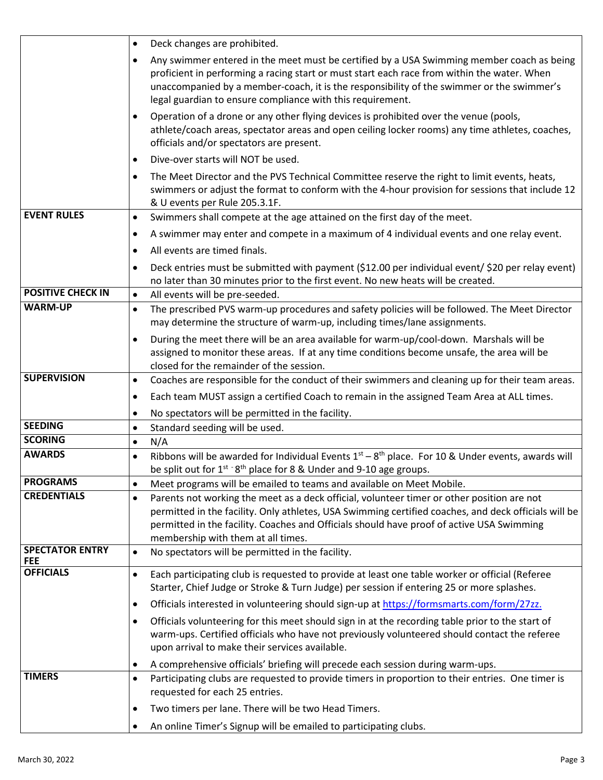|                                      | Deck changes are prohibited.                                                                                                                                                                                                                                                                                                                        |  |  |
|--------------------------------------|-----------------------------------------------------------------------------------------------------------------------------------------------------------------------------------------------------------------------------------------------------------------------------------------------------------------------------------------------------|--|--|
|                                      | Any swimmer entered in the meet must be certified by a USA Swimming member coach as being<br>proficient in performing a racing start or must start each race from within the water. When<br>unaccompanied by a member-coach, it is the responsibility of the swimmer or the swimmer's<br>legal guardian to ensure compliance with this requirement. |  |  |
|                                      | Operation of a drone or any other flying devices is prohibited over the venue (pools,<br>athlete/coach areas, spectator areas and open ceiling locker rooms) any time athletes, coaches,<br>officials and/or spectators are present.                                                                                                                |  |  |
|                                      | Dive-over starts will NOT be used.<br>$\bullet$                                                                                                                                                                                                                                                                                                     |  |  |
|                                      | The Meet Director and the PVS Technical Committee reserve the right to limit events, heats,<br>$\bullet$<br>swimmers or adjust the format to conform with the 4-hour provision for sessions that include 12<br>& U events per Rule 205.3.1F.                                                                                                        |  |  |
| <b>EVENT RULES</b>                   | Swimmers shall compete at the age attained on the first day of the meet.<br>$\bullet$                                                                                                                                                                                                                                                               |  |  |
|                                      | A swimmer may enter and compete in a maximum of 4 individual events and one relay event.<br>$\bullet$                                                                                                                                                                                                                                               |  |  |
|                                      | All events are timed finals.<br>$\bullet$                                                                                                                                                                                                                                                                                                           |  |  |
|                                      | Deck entries must be submitted with payment (\$12.00 per individual event/ \$20 per relay event)<br>$\bullet$<br>no later than 30 minutes prior to the first event. No new heats will be created.                                                                                                                                                   |  |  |
| <b>POSITIVE CHECK IN</b>             | All events will be pre-seeded.<br>$\bullet$                                                                                                                                                                                                                                                                                                         |  |  |
| <b>WARM-UP</b>                       | The prescribed PVS warm-up procedures and safety policies will be followed. The Meet Director<br>$\bullet$<br>may determine the structure of warm-up, including times/lane assignments.                                                                                                                                                             |  |  |
|                                      | During the meet there will be an area available for warm-up/cool-down. Marshals will be<br>$\bullet$<br>assigned to monitor these areas. If at any time conditions become unsafe, the area will be<br>closed for the remainder of the session.                                                                                                      |  |  |
| <b>SUPERVISION</b>                   | Coaches are responsible for the conduct of their swimmers and cleaning up for their team areas.<br>$\bullet$                                                                                                                                                                                                                                        |  |  |
|                                      | Each team MUST assign a certified Coach to remain in the assigned Team Area at ALL times.<br>$\bullet$                                                                                                                                                                                                                                              |  |  |
|                                      | No spectators will be permitted in the facility.<br>$\bullet$                                                                                                                                                                                                                                                                                       |  |  |
| <b>SEEDING</b>                       | Standard seeding will be used.<br>$\bullet$                                                                                                                                                                                                                                                                                                         |  |  |
| <b>SCORING</b>                       | N/A<br>$\bullet$                                                                                                                                                                                                                                                                                                                                    |  |  |
| <b>AWARDS</b>                        | Ribbons will be awarded for Individual Events $1st - 8th$ place. For 10 & Under events, awards will<br>$\bullet$<br>be split out for 1 <sup>st -</sup> 8 <sup>th</sup> place for 8 & Under and 9-10 age groups.                                                                                                                                     |  |  |
| <b>PROGRAMS</b>                      | Meet programs will be emailed to teams and available on Meet Mobile.<br>$\bullet$                                                                                                                                                                                                                                                                   |  |  |
| <b>CREDENTIALS</b>                   | Parents not working the meet as a deck official, volunteer timer or other position are not<br>$\bullet$<br>permitted in the facility. Only athletes, USA Swimming certified coaches, and deck officials will be<br>permitted in the facility. Coaches and Officials should have proof of active USA Swimming<br>membership with them at all times.  |  |  |
| <b>SPECTATOR ENTRY</b><br><b>FEE</b> | No spectators will be permitted in the facility.<br>$\bullet$                                                                                                                                                                                                                                                                                       |  |  |
| <b>OFFICIALS</b>                     | Each participating club is requested to provide at least one table worker or official (Referee<br>$\bullet$<br>Starter, Chief Judge or Stroke & Turn Judge) per session if entering 25 or more splashes.                                                                                                                                            |  |  |
|                                      | Officials interested in volunteering should sign-up at https://formsmarts.com/form/27zz.<br>$\bullet$                                                                                                                                                                                                                                               |  |  |
|                                      | Officials volunteering for this meet should sign in at the recording table prior to the start of<br>$\bullet$<br>warm-ups. Certified officials who have not previously volunteered should contact the referee<br>upon arrival to make their services available.                                                                                     |  |  |
|                                      | A comprehensive officials' briefing will precede each session during warm-ups.<br>$\bullet$                                                                                                                                                                                                                                                         |  |  |
| <b>TIMERS</b>                        | Participating clubs are requested to provide timers in proportion to their entries. One timer is<br>$\bullet$<br>requested for each 25 entries.                                                                                                                                                                                                     |  |  |
|                                      | Two timers per lane. There will be two Head Timers.<br>$\bullet$                                                                                                                                                                                                                                                                                    |  |  |
|                                      | An online Timer's Signup will be emailed to participating clubs.<br>٠                                                                                                                                                                                                                                                                               |  |  |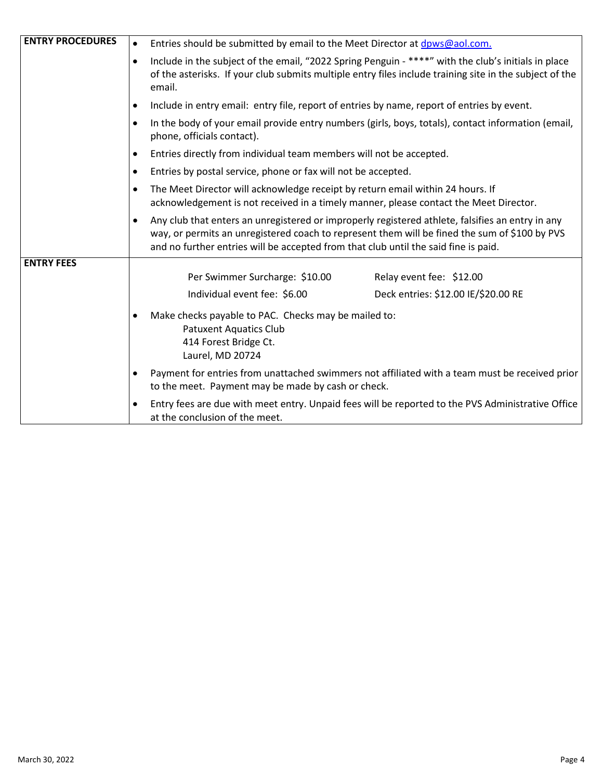| <b>ENTRY PROCEDURES</b> | Entries should be submitted by email to the Meet Director at dpws@aol.com.                                                                                                                                                                                                               |  |  |
|-------------------------|------------------------------------------------------------------------------------------------------------------------------------------------------------------------------------------------------------------------------------------------------------------------------------------|--|--|
|                         | Include in the subject of the email, "2022 Spring Penguin - ****" with the club's initials in place<br>of the asterisks. If your club submits multiple entry files include training site in the subject of the<br>email.                                                                 |  |  |
|                         | Include in entry email: entry file, report of entries by name, report of entries by event.                                                                                                                                                                                               |  |  |
|                         | In the body of your email provide entry numbers (girls, boys, totals), contact information (email,<br>phone, officials contact).                                                                                                                                                         |  |  |
|                         | Entries directly from individual team members will not be accepted.                                                                                                                                                                                                                      |  |  |
|                         | Entries by postal service, phone or fax will not be accepted.                                                                                                                                                                                                                            |  |  |
|                         | The Meet Director will acknowledge receipt by return email within 24 hours. If<br>acknowledgement is not received in a timely manner, please contact the Meet Director.                                                                                                                  |  |  |
|                         | Any club that enters an unregistered or improperly registered athlete, falsifies an entry in any<br>way, or permits an unregistered coach to represent them will be fined the sum of \$100 by PVS<br>and no further entries will be accepted from that club until the said fine is paid. |  |  |
| <b>ENTRY FEES</b>       |                                                                                                                                                                                                                                                                                          |  |  |
|                         | Per Swimmer Surcharge: \$10.00<br>Relay event fee: \$12.00                                                                                                                                                                                                                               |  |  |
|                         | Individual event fee: \$6.00<br>Deck entries: \$12.00 IE/\$20.00 RE                                                                                                                                                                                                                      |  |  |
|                         | Make checks payable to PAC. Checks may be mailed to:<br><b>Patuxent Aquatics Club</b><br>414 Forest Bridge Ct.<br>Laurel, MD 20724                                                                                                                                                       |  |  |
|                         | Payment for entries from unattached swimmers not affiliated with a team must be received prior<br>to the meet. Payment may be made by cash or check.                                                                                                                                     |  |  |
|                         | Entry fees are due with meet entry. Unpaid fees will be reported to the PVS Administrative Office<br>$\bullet$<br>at the conclusion of the meet.                                                                                                                                         |  |  |